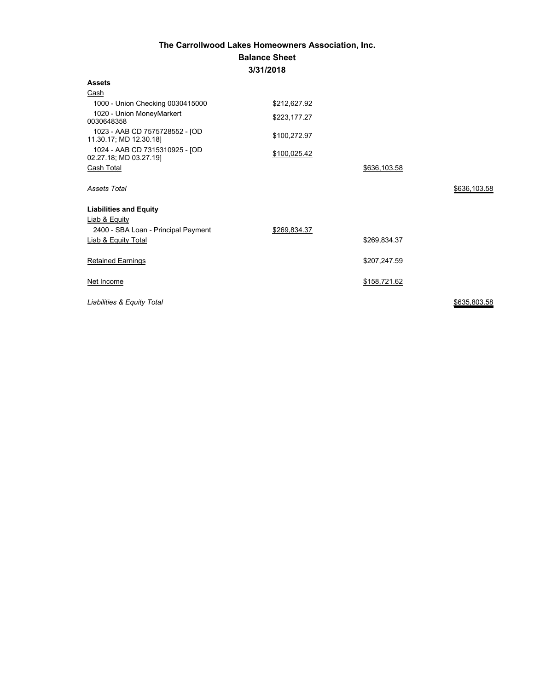## **The Carrollwood Lakes Homeowners Association, Inc. Balance Sheet 3/31/2018**

| <b>Assets</b>                                            |              |              |              |
|----------------------------------------------------------|--------------|--------------|--------------|
| Cash                                                     |              |              |              |
| 1000 - Union Checking 0030415000                         | \$212,627.92 |              |              |
| 1020 - Union MoneyMarkert<br>0030648358                  | \$223,177.27 |              |              |
| 1023 - AAB CD 7575728552 - JOD<br>11.30.17; MD 12.30.18] | \$100,272.97 |              |              |
| 1024 - AAB CD 7315310925 - [OD<br>02.27.18; MD 03.27.19] | \$100,025.42 |              |              |
| Cash Total                                               |              | \$636,103.58 |              |
| <b>Assets Total</b>                                      |              |              | \$636,103.58 |
| <b>Liabilities and Equity</b>                            |              |              |              |
| Liab & Equity                                            |              |              |              |
| 2400 - SBA Loan - Principal Payment                      | \$269,834.37 |              |              |
| <b>Liab &amp; Equity Total</b>                           |              | \$269,834.37 |              |
| <b>Retained Earnings</b>                                 |              | \$207,247.59 |              |
| Net Income                                               |              | \$158,721.62 |              |
| Liabilities & Equity Total                               |              |              | \$635,803.58 |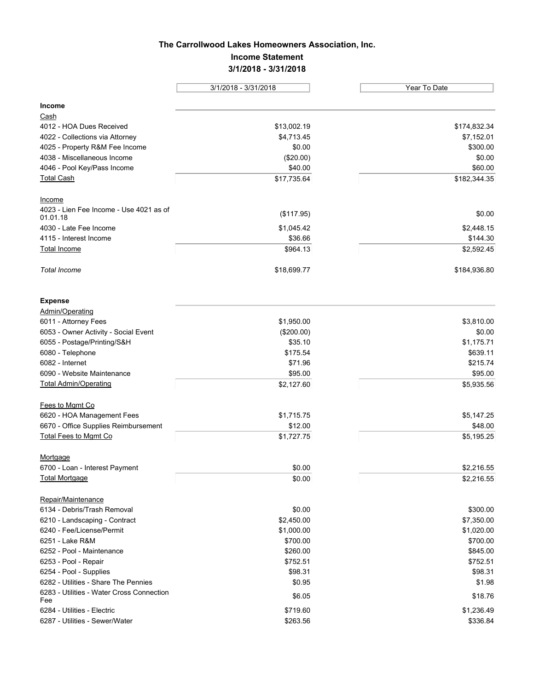## **The Carrollwood Lakes Homeowners Association, Inc. Income Statement 3/1/2018 - 3/31/2018**

|                                                     | 3/1/2018 - 3/31/2018 | Year To Date |  |
|-----------------------------------------------------|----------------------|--------------|--|
|                                                     |                      |              |  |
| Income                                              |                      |              |  |
| Cash                                                |                      |              |  |
| 4012 - HOA Dues Received                            | \$13,002.19          | \$174,832.34 |  |
| 4022 - Collections via Attorney                     | \$4,713.45           | \$7,152.01   |  |
| 4025 - Property R&M Fee Income                      | \$0.00               | \$300.00     |  |
| 4038 - Miscellaneous Income                         | (\$20.00)            | \$0.00       |  |
| 4046 - Pool Key/Pass Income                         | \$40.00              | \$60.00      |  |
| <b>Total Cash</b>                                   | \$17,735.64          | \$182,344.35 |  |
| Income                                              |                      |              |  |
| 4023 - Lien Fee Income - Use 4021 as of<br>01.01.18 | (\$117.95)           | \$0.00       |  |
| 4030 - Late Fee Income                              | \$1,045.42           | \$2,448.15   |  |
| 4115 - Interest Income                              | \$36.66              | \$144.30     |  |
| <b>Total Income</b>                                 | \$964.13             | \$2,592.45   |  |
| <b>Total Income</b>                                 | \$18,699.77          | \$184,936.80 |  |
| <b>Expense</b>                                      |                      |              |  |
| Admin/Operating                                     |                      |              |  |
| 6011 - Attorney Fees                                | \$1,950.00           | \$3,810.00   |  |
| 6053 - Owner Activity - Social Event                | (\$200.00)           | \$0.00       |  |
| 6055 - Postage/Printing/S&H                         | \$35.10              | \$1,175.71   |  |
| 6080 - Telephone                                    | \$175.54             | \$639.11     |  |
| 6082 - Internet                                     | \$71.96              | \$215.74     |  |
| 6090 - Website Maintenance                          | \$95.00              | \$95.00      |  |
| <b>Total Admin/Operating</b>                        | \$2,127.60           | \$5,935.56   |  |
| Fees to Mgmt Co                                     |                      |              |  |
| 6620 - HOA Management Fees                          | \$1,715.75           | \$5,147.25   |  |
| 6670 - Office Supplies Reimbursement                | \$12.00              | \$48.00      |  |
| <b>Total Fees to Mgmt Co</b>                        | \$1,727.75           | \$5,195.25   |  |
| Mortgage                                            |                      |              |  |
| 6700 - Loan - Interest Payment                      | \$0.00               | \$2,216.55   |  |
| <b>Total Mortgage</b>                               | \$0.00               | \$2,216.55   |  |
| Repair/Maintenance                                  |                      |              |  |
| 6134 - Debris/Trash Removal                         | \$0.00               | \$300.00     |  |
| 6210 - Landscaping - Contract                       | \$2,450.00           | \$7,350.00   |  |
| 6240 - Fee/License/Permit                           | \$1,000.00           | \$1,020.00   |  |
| 6251 - Lake R&M                                     | \$700.00             | \$700.00     |  |
| 6252 - Pool - Maintenance                           | \$260.00             | \$845.00     |  |
| 6253 - Pool - Repair                                | \$752.51             | \$752.51     |  |
| 6254 - Pool - Supplies                              | \$98.31              | \$98.31      |  |
| 6282 - Utilities - Share The Pennies                | \$0.95               | \$1.98       |  |
| 6283 - Utilities - Water Cross Connection<br>Fee    | \$6.05               | \$18.76      |  |
| 6284 - Utilities - Electric                         | \$719.60             | \$1,236.49   |  |
| 6287 - Utilities - Sewer/Water                      | \$263.56             | \$336.84     |  |